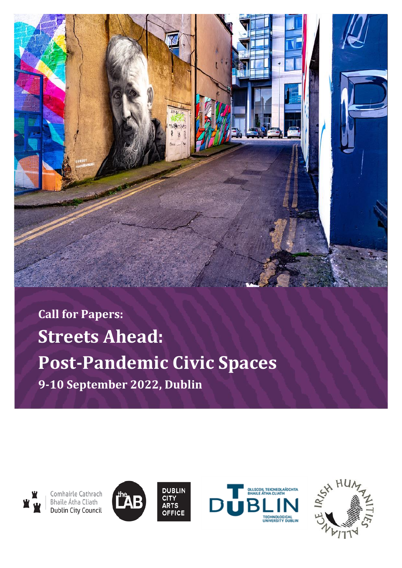**Call for Papers: Streets Ahead: Post-Pandemic Civic Spaces 9-10 September 2022, Dublin** 



Comhairle Cathrach<br>Bhaile Átha Cliath **Dublin City Council** 







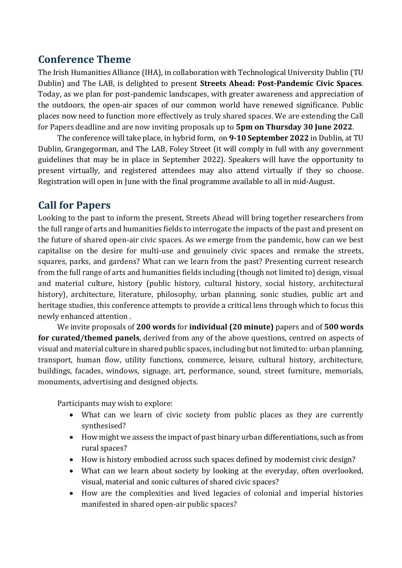## **Conference Theme**

The Irish Humanities Alliance (IHA), in collaboration with Technological University Dublin (TU Dublin) and The LAB, is delighted to present **Streets Ahead: Post-Pandemic Civic Spaces**. Today, as we plan for post-pandemic landscapes, with greater awareness and appreciation of the outdoors, the open-air spaces of our common world have renewed significance. Public places now need to function more effectively as truly shared spaces. We are extending the Call for Papers deadline and are now inviting proposals up to **5pm on Thursday 30 June 2022**.

The conference will take place, in hybrid form, on **9-10 September 2022** in Dublin, at TU Dublin, Grangegorman, and The LAB, Foley Street (it will comply in full with any government guidelines that may be in place in September 2022). Speakers will have the opportunity to present virtually, and registered attendees may also attend virtually if they so choose. Registration will open in June with the final programme available to all in mid-August.

## **Call for Papers**

Looking to the past to inform the present, Streets Ahead will bring together researchers from the full range of arts and humanities fields to interrogate the impacts of the past and present on the future of shared open-air civic spaces. As we emerge from the pandemic, how can we best capitalise on the desire for multi-use and genuinely civic spaces and remake the streets, squares, parks, and gardens? What can we learn from the past? Presenting current research from the full range of arts and humanities fields including (though not limited to) design, visual and material culture, history (public history, cultural history, social history, architectural history), architecture, literature, philosophy, urban planning, sonic studies, public art and heritage studies, this conference attempts to provide a critical lens through which to focus this newly enhanced attention .

We invite proposals of **200 words** for **individual (20 minute)** papers and of **500 words for curated/themed panels**, derived from any of the above questions, centred on aspects of visual and material culture in shared public spaces, including but not limited to: urban planning, transport, human flow, utility functions, commerce, leisure, cultural history, architecture, buildings, facades, windows, signage, art, performance, sound, street furniture, memorials, monuments, advertising and designed objects.

Participants may wish to explore:

- What can we learn of civic society from public places as they are currently synthesised?
- How might we assess the impact of past binary urban differentiations, such as from rural spaces?
- How is history embodied across such spaces defined by modernist civic design?
- What can we learn about society by looking at the everyday, often overlooked, visual, material and sonic cultures of shared civic spaces?
- How are the complexities and lived legacies of colonial and imperial histories manifested in shared open-air public spaces?